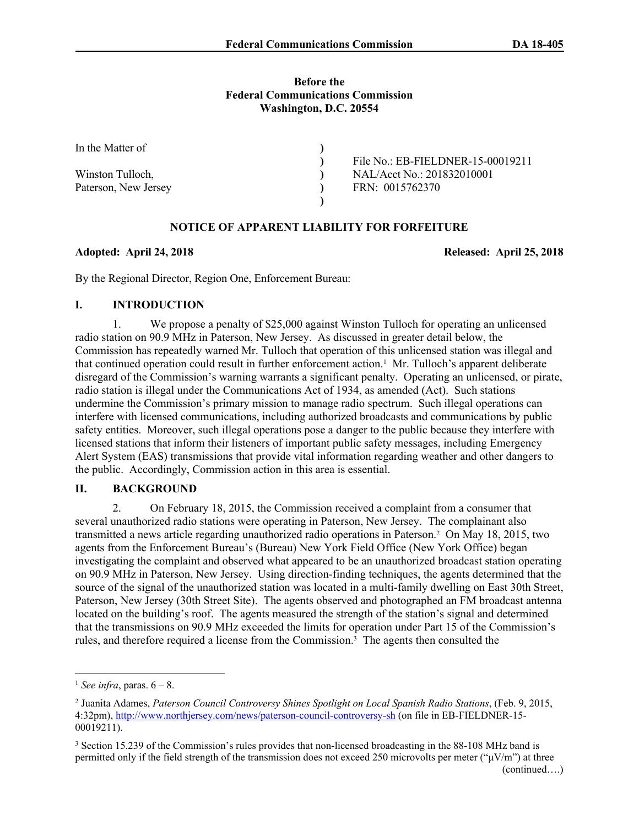### **Before the Federal Communications Commission Washington, D.C. 20554**

| In the Matter of     |                                   |
|----------------------|-----------------------------------|
|                      | File No.: EB-FIELDNER-15-00019211 |
| Winston Tulloch,     | NAL/Acct No.: 201832010001        |
| Paterson, New Jersey | FRN: 0015762370                   |
|                      |                                   |

# **NOTICE OF APPARENT LIABILITY FOR FORFEITURE**

### **Adopted: April 24, 2018 Released: April 25, 2018**

By the Regional Director, Region One, Enforcement Bureau:

# **I. INTRODUCTION**

1. We propose a penalty of \$25,000 against Winston Tulloch for operating an unlicensed radio station on 90.9 MHz in Paterson, New Jersey. As discussed in greater detail below, the Commission has repeatedly warned Mr. Tulloch that operation of this unlicensed station was illegal and that continued operation could result in further enforcement action.<sup>1</sup> Mr. Tulloch's apparent deliberate disregard of the Commission's warning warrants a significant penalty. Operating an unlicensed, or pirate, radio station is illegal under the Communications Act of 1934, as amended (Act). Such stations undermine the Commission's primary mission to manage radio spectrum. Such illegal operations can interfere with licensed communications, including authorized broadcasts and communications by public safety entities. Moreover, such illegal operations pose a danger to the public because they interfere with licensed stations that inform their listeners of important public safety messages, including Emergency Alert System (EAS) transmissions that provide vital information regarding weather and other dangers to the public. Accordingly, Commission action in this area is essential.

## **II. BACKGROUND**

2. On February 18, 2015, the Commission received a complaint from a consumer that several unauthorized radio stations were operating in Paterson, New Jersey. The complainant also transmitted a news article regarding unauthorized radio operations in Paterson.<sup>2</sup> On May 18, 2015, two agents from the Enforcement Bureau's (Bureau) New York Field Office (New York Office) began investigating the complaint and observed what appeared to be an unauthorized broadcast station operating on 90.9 MHz in Paterson, New Jersey. Using direction-finding techniques, the agents determined that the source of the signal of the unauthorized station was located in a multi-family dwelling on East 30th Street, Paterson, New Jersey (30th Street Site). The agents observed and photographed an FM broadcast antenna located on the building's roof. The agents measured the strength of the station's signal and determined that the transmissions on 90.9 MHz exceeded the limits for operation under Part 15 of the Commission's rules, and therefore required a license from the Commission.<sup>3</sup> The agents then consulted the

<sup>&</sup>lt;sup>1</sup> *See infra*, paras.  $6 - 8$ .

<sup>2</sup> Juanita Adames, *Paterson Council Controversy Shines Spotlight on Local Spanish Radio Stations*, (Feb. 9, 2015, 4:32pm), <http://www.northjersey.com/news/paterson-council-controversy-sh> (on file in EB-FIELDNER-15- 00019211).

<sup>&</sup>lt;sup>3</sup> Section 15.239 of the Commission's rules provides that non-licensed broadcasting in the 88-108 MHz band is permitted only if the field strength of the transmission does not exceed 250 microvolts per meter ("μV/m") at three (continued….)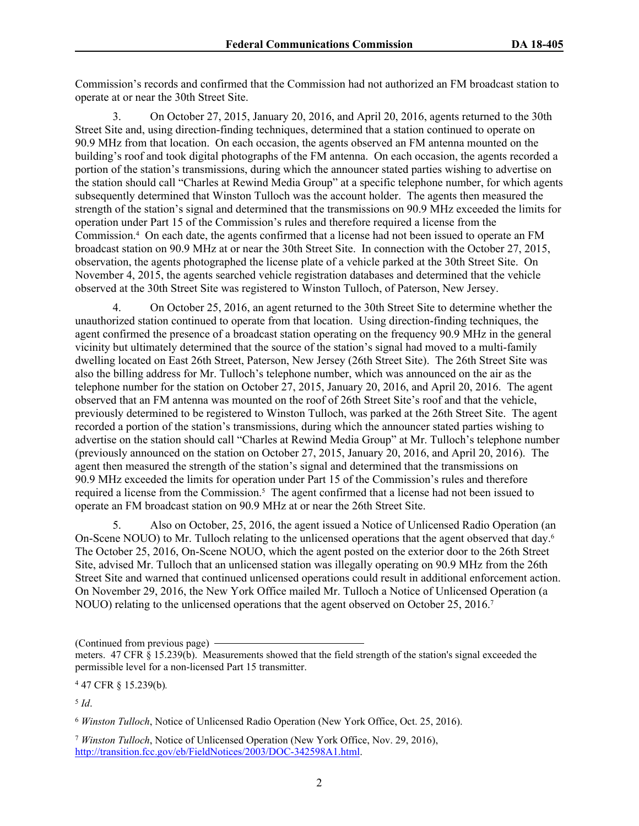Commission's records and confirmed that the Commission had not authorized an FM broadcast station to operate at or near the 30th Street Site.

3. On October 27, 2015, January 20, 2016, and April 20, 2016, agents returned to the 30th Street Site and, using direction-finding techniques, determined that a station continued to operate on 90.9 MHz from that location. On each occasion, the agents observed an FM antenna mounted on the building's roof and took digital photographs of the FM antenna. On each occasion, the agents recorded a portion of the station's transmissions, during which the announcer stated parties wishing to advertise on the station should call "Charles at Rewind Media Group" at a specific telephone number, for which agents subsequently determined that Winston Tulloch was the account holder. The agents then measured the strength of the station's signal and determined that the transmissions on 90.9 MHz exceeded the limits for operation under Part 15 of the Commission's rules and therefore required a license from the Commission.<sup>4</sup> On each date, the agents confirmed that a license had not been issued to operate an FM broadcast station on 90.9 MHz at or near the 30th Street Site. In connection with the October 27, 2015, observation, the agents photographed the license plate of a vehicle parked at the 30th Street Site. On November 4, 2015, the agents searched vehicle registration databases and determined that the vehicle observed at the 30th Street Site was registered to Winston Tulloch, of Paterson, New Jersey.

4. On October 25, 2016, an agent returned to the 30th Street Site to determine whether the unauthorized station continued to operate from that location. Using direction-finding techniques, the agent confirmed the presence of a broadcast station operating on the frequency 90.9 MHz in the general vicinity but ultimately determined that the source of the station's signal had moved to a multi-family dwelling located on East 26th Street, Paterson, New Jersey (26th Street Site). The 26th Street Site was also the billing address for Mr. Tulloch's telephone number, which was announced on the air as the telephone number for the station on October 27, 2015, January 20, 2016, and April 20, 2016. The agent observed that an FM antenna was mounted on the roof of 26th Street Site's roof and that the vehicle, previously determined to be registered to Winston Tulloch, was parked at the 26th Street Site. The agent recorded a portion of the station's transmissions, during which the announcer stated parties wishing to advertise on the station should call "Charles at Rewind Media Group" at Mr. Tulloch's telephone number (previously announced on the station on October 27, 2015, January 20, 2016, and April 20, 2016). The agent then measured the strength of the station's signal and determined that the transmissions on 90.9 MHz exceeded the limits for operation under Part 15 of the Commission's rules and therefore required a license from the Commission.<sup>5</sup> The agent confirmed that a license had not been issued to operate an FM broadcast station on 90.9 MHz at or near the 26th Street Site.

5. Also on October, 25, 2016, the agent issued a Notice of Unlicensed Radio Operation (an On-Scene NOUO) to Mr. Tulloch relating to the unlicensed operations that the agent observed that day.<sup>6</sup> The October 25, 2016, On-Scene NOUO, which the agent posted on the exterior door to the 26th Street Site, advised Mr. Tulloch that an unlicensed station was illegally operating on 90.9 MHz from the 26th Street Site and warned that continued unlicensed operations could result in additional enforcement action. On November 29, 2016, the New York Office mailed Mr. Tulloch a Notice of Unlicensed Operation (a NOUO) relating to the unlicensed operations that the agent observed on October 25, 2016.<sup>7</sup>

<sup>6</sup> *Winston Tulloch*, Notice of Unlicensed Radio Operation (New York Office, Oct. 25, 2016).

<sup>7</sup> *Winston Tulloch*, Notice of Unlicensed Operation (New York Office, Nov. 29, 2016), <http://transition.fcc.gov/eb/FieldNotices/2003/DOC-342598A1.html>.

<sup>(</sup>Continued from previous page)

meters. 47 CFR § 15.239(b). Measurements showed that the field strength of the station's signal exceeded the permissible level for a non-licensed Part 15 transmitter.

<sup>4</sup> 47 CFR § 15.239(b)*.* 

<sup>5</sup> *Id*.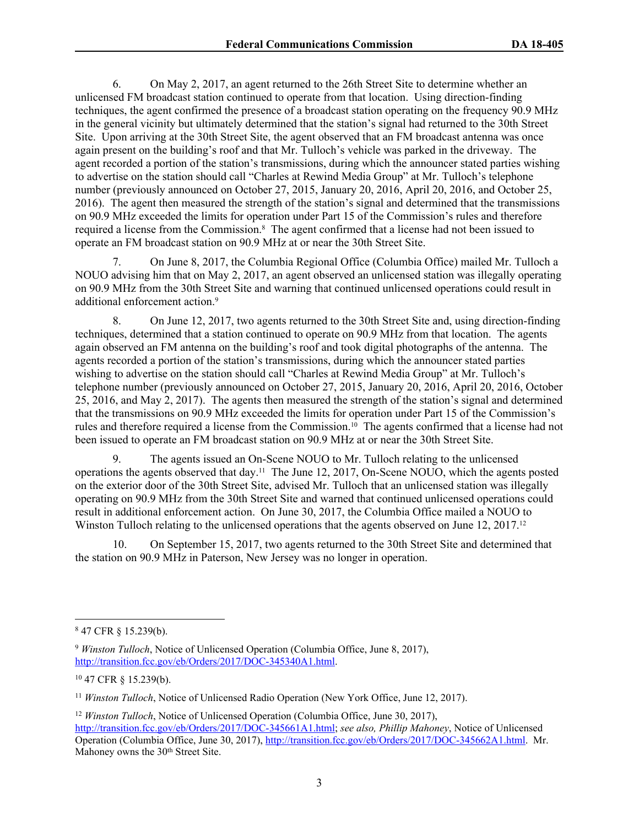6. On May 2, 2017, an agent returned to the 26th Street Site to determine whether an unlicensed FM broadcast station continued to operate from that location. Using direction-finding techniques, the agent confirmed the presence of a broadcast station operating on the frequency 90.9 MHz in the general vicinity but ultimately determined that the station's signal had returned to the 30th Street Site. Upon arriving at the 30th Street Site, the agent observed that an FM broadcast antenna was once again present on the building's roof and that Mr. Tulloch's vehicle was parked in the driveway. The agent recorded a portion of the station's transmissions, during which the announcer stated parties wishing to advertise on the station should call "Charles at Rewind Media Group" at Mr. Tulloch's telephone number (previously announced on October 27, 2015, January 20, 2016, April 20, 2016, and October 25, 2016). The agent then measured the strength of the station's signal and determined that the transmissions on 90.9 MHz exceeded the limits for operation under Part 15 of the Commission's rules and therefore required a license from the Commission.<sup>8</sup> The agent confirmed that a license had not been issued to operate an FM broadcast station on 90.9 MHz at or near the 30th Street Site.

7. On June 8, 2017, the Columbia Regional Office (Columbia Office) mailed Mr. Tulloch a NOUO advising him that on May 2, 2017, an agent observed an unlicensed station was illegally operating on 90.9 MHz from the 30th Street Site and warning that continued unlicensed operations could result in additional enforcement action.<sup>9</sup>

8. On June 12, 2017, two agents returned to the 30th Street Site and, using direction-finding techniques, determined that a station continued to operate on 90.9 MHz from that location. The agents again observed an FM antenna on the building's roof and took digital photographs of the antenna. The agents recorded a portion of the station's transmissions, during which the announcer stated parties wishing to advertise on the station should call "Charles at Rewind Media Group" at Mr. Tulloch's telephone number (previously announced on October 27, 2015, January 20, 2016, April 20, 2016, October 25, 2016, and May 2, 2017). The agents then measured the strength of the station's signal and determined that the transmissions on 90.9 MHz exceeded the limits for operation under Part 15 of the Commission's rules and therefore required a license from the Commission.10 The agents confirmed that a license had not been issued to operate an FM broadcast station on 90.9 MHz at or near the 30th Street Site.

9. The agents issued an On-Scene NOUO to Mr. Tulloch relating to the unlicensed operations the agents observed that day.11 The June 12, 2017, On-Scene NOUO, which the agents posted on the exterior door of the 30th Street Site, advised Mr. Tulloch that an unlicensed station was illegally operating on 90.9 MHz from the 30th Street Site and warned that continued unlicensed operations could result in additional enforcement action. On June 30, 2017, the Columbia Office mailed a NOUO to Winston Tulloch relating to the unlicensed operations that the agents observed on June 12, 2017.<sup>12</sup>

10. On September 15, 2017, two agents returned to the 30th Street Site and determined that the station on 90.9 MHz in Paterson, New Jersey was no longer in operation.

<sup>8</sup> 47 CFR § 15.239(b).

<sup>9</sup> *Winston Tulloch*, Notice of Unlicensed Operation (Columbia Office, June 8, 2017), <http://transition.fcc.gov/eb/Orders/2017/DOC-345340A1.html>.

<sup>10</sup> 47 CFR § 15.239(b).

<sup>11</sup> *Winston Tulloch*, Notice of Unlicensed Radio Operation (New York Office, June 12, 2017).

<sup>12</sup> *Winston Tulloch*, Notice of Unlicensed Operation (Columbia Office, June 30, 2017), <http://transition.fcc.gov/eb/Orders/2017/DOC-345661A1.html>; *see also, Phillip Mahoney*, Notice of Unlicensed Operation (Columbia Office, June 30, 2017), [http://transition.fcc.gov/eb/Orders/2017/DOC-345662A1.html.](http://transition.fcc.gov/eb/Orders/2017/DOC-345662A1.html) Mr. Mahoney owns the 30<sup>th</sup> Street Site.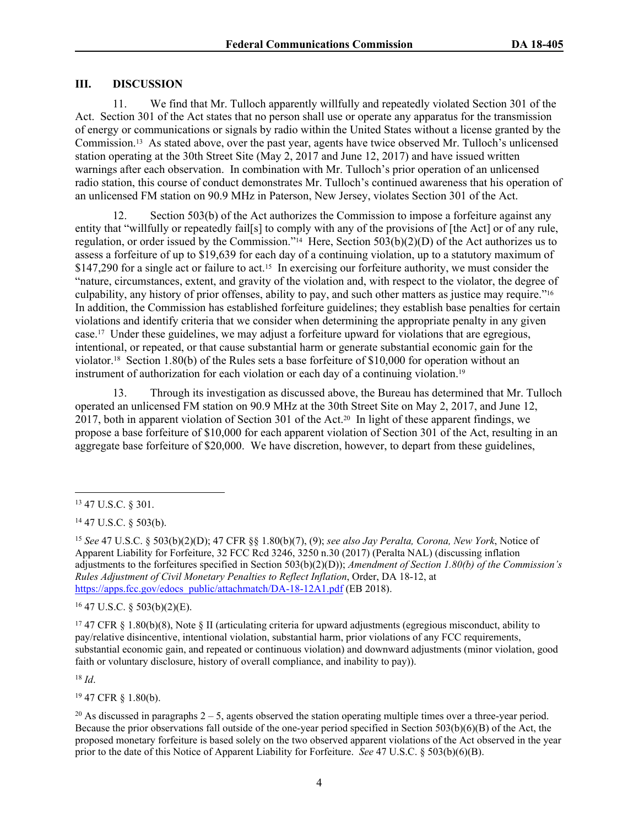# **III. DISCUSSION**

11. We find that Mr. Tulloch apparently willfully and repeatedly violated Section 301 of the Act. Section 301 of the Act states that no person shall use or operate any apparatus for the transmission of energy or communications or signals by radio within the United States without a license granted by the Commission.13 As stated above, over the past year, agents have twice observed Mr. Tulloch's unlicensed station operating at the 30th Street Site (May 2, 2017 and June 12, 2017) and have issued written warnings after each observation. In combination with Mr. Tulloch's prior operation of an unlicensed radio station, this course of conduct demonstrates Mr. Tulloch's continued awareness that his operation of an unlicensed FM station on 90.9 MHz in Paterson, New Jersey, violates Section 301 of the Act.

12. Section 503(b) of the Act authorizes the Commission to impose a forfeiture against any entity that "willfully or repeatedly fail[s] to comply with any of the provisions of [the Act] or of any rule, regulation, or order issued by the Commission."14 Here, Section 503(b)(2)(D) of the Act authorizes us to assess a forfeiture of up to \$19,639 for each day of a continuing violation, up to a statutory maximum of \$147,290 for a single act or failure to act.<sup>15</sup> In exercising our forfeiture authority, we must consider the "nature, circumstances, extent, and gravity of the violation and, with respect to the violator, the degree of culpability, any history of prior offenses, ability to pay, and such other matters as justice may require."<sup>16</sup> In addition, the Commission has established forfeiture guidelines; they establish base penalties for certain violations and identify criteria that we consider when determining the appropriate penalty in any given case.17 Under these guidelines, we may adjust a forfeiture upward for violations that are egregious, intentional, or repeated, or that cause substantial harm or generate substantial economic gain for the violator.18 Section 1.80(b) of the Rules sets a base forfeiture of \$10,000 for operation without an instrument of authorization for each violation or each day of a continuing violation.<sup>19</sup>

13. Through its investigation as discussed above, the Bureau has determined that Mr. Tulloch operated an unlicensed FM station on 90.9 MHz at the 30th Street Site on May 2, 2017, and June 12, 2017, both in apparent violation of Section 301 of the Act.20 In light of these apparent findings, we propose a base forfeiture of \$10,000 for each apparent violation of Section 301 of the Act, resulting in an aggregate base forfeiture of \$20,000. We have discretion, however, to depart from these guidelines,

<sup>16</sup> 47 U.S.C. § 503(b)(2)(E).

<sup>17</sup> 47 CFR § 1.80(b)(8), Note § II (articulating criteria for upward adjustments (egregious misconduct, ability to pay/relative disincentive, intentional violation, substantial harm, prior violations of any FCC requirements, substantial economic gain, and repeated or continuous violation) and downward adjustments (minor violation, good faith or voluntary disclosure, history of overall compliance, and inability to pay)).

<sup>18</sup> *Id*.

<sup>19</sup> 47 CFR § 1.80(b).

<sup>20</sup> As discussed in paragraphs  $2 - 5$ , agents observed the station operating multiple times over a three-year period. Because the prior observations fall outside of the one-year period specified in Section 503(b)(6)(B) of the Act, the proposed monetary forfeiture is based solely on the two observed apparent violations of the Act observed in the year prior to the date of this Notice of Apparent Liability for Forfeiture. *See* 47 U.S.C. § 503(b)(6)(B).

<sup>13</sup> 47 U.S.C. § 301.

<sup>14</sup> 47 U.S.C. § 503(b).

<sup>15</sup> *See* 47 U.S.C. § 503(b)(2)(D); 47 CFR §§ 1.80(b)(7), (9); *see also Jay Peralta, Corona, New York*, Notice of Apparent Liability for Forfeiture, 32 FCC Rcd 3246, 3250 n.30 (2017) (Peralta NAL) (discussing inflation adjustments to the forfeitures specified in Section 503(b)(2)(D)); *Amendment of Section 1.80(b) of the Commission's Rules Adjustment of Civil Monetary Penalties to Reflect Inflation*, Order, DA 18-12, at [https://apps.fcc.gov/edocs\\_public/attachmatch/DA-18-12A1.pdf](https://apps.fcc.gov/edocs_public/attachmatch/DA-18-12A1.pdf) (EB 2018).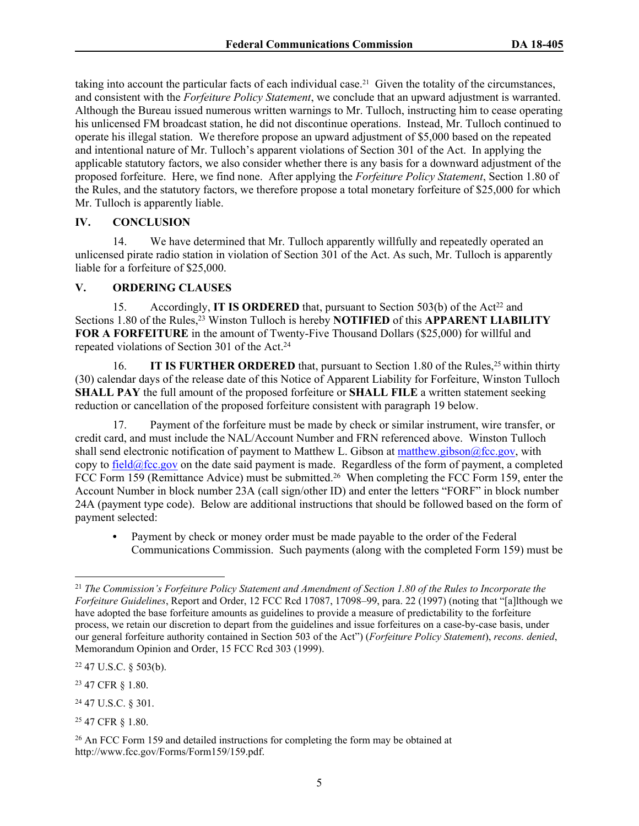taking into account the particular facts of each individual case.21 Given the totality of the circumstances, and consistent with the *Forfeiture Policy Statement*, we conclude that an upward adjustment is warranted. Although the Bureau issued numerous written warnings to Mr. Tulloch, instructing him to cease operating his unlicensed FM broadcast station, he did not discontinue operations. Instead, Mr. Tulloch continued to operate his illegal station. We therefore propose an upward adjustment of \$5,000 based on the repeated and intentional nature of Mr. Tulloch's apparent violations of Section 301 of the Act. In applying the applicable statutory factors, we also consider whether there is any basis for a downward adjustment of the proposed forfeiture. Here, we find none. After applying the *Forfeiture Policy Statement*, Section 1.80 of the Rules, and the statutory factors, we therefore propose a total monetary forfeiture of \$25,000 for which Mr. Tulloch is apparently liable.

## **IV. CONCLUSION**

14. We have determined that Mr. Tulloch apparently willfully and repeatedly operated an unlicensed pirate radio station in violation of Section 301 of the Act. As such, Mr. Tulloch is apparently liable for a forfeiture of \$25,000.

### **V. ORDERING CLAUSES**

15. Accordingly, **IT IS ORDERED** that, pursuant to Section 503(b) of the Act<sup>22</sup> and Sections 1.80 of the Rules,<sup>23</sup> Winston Tulloch is hereby **NOTIFIED** of this **APPARENT LIABILITY FOR A FORFEITURE** in the amount of Twenty-Five Thousand Dollars (\$25,000) for willful and repeated violations of Section 301 of the Act.<sup>24</sup>

16. **IT IS FURTHER ORDERED** that, pursuant to Section 1.80 of the Rules,<sup>25</sup> within thirty (30) calendar days of the release date of this Notice of Apparent Liability for Forfeiture, Winston Tulloch **SHALL PAY** the full amount of the proposed forfeiture or **SHALL FILE** a written statement seeking reduction or cancellation of the proposed forfeiture consistent with paragraph 19 below.

17. Payment of the forfeiture must be made by check or similar instrument, wire transfer, or credit card, and must include the NAL/Account Number and FRN referenced above. Winston Tulloch shall send electronic notification of payment to Matthew L. Gibson at [matthew.gibson@fcc.gov,](mailto:matthew.gibson@fcc.gov) with copy to  $field@fcc.gov$  on the date said payment is made. Regardless of the form of payment, a completed FCC Form 159 (Remittance Advice) must be submitted.<sup>26</sup> When completing the FCC Form 159, enter the Account Number in block number 23A (call sign/other ID) and enter the letters "FORF" in block number 24A (payment type code). Below are additional instructions that should be followed based on the form of payment selected:

• Payment by check or money order must be made payable to the order of the Federal Communications Commission. Such payments (along with the completed Form 159) must be

<sup>22</sup> 47 U.S.C. § 503(b).

<sup>23</sup> 47 CFR § 1.80.

<sup>24</sup> 47 U.S.C. § 301.

<sup>25</sup> 47 CFR § 1.80.

<sup>21</sup> *The Commission's Forfeiture Policy Statement and Amendment of Section 1.80 of the Rules to Incorporate the Forfeiture Guidelines*, Report and Order, 12 FCC Rcd 17087, 17098–99, para. 22 (1997) (noting that "[a]lthough we have adopted the base forfeiture amounts as guidelines to provide a measure of predictability to the forfeiture process, we retain our discretion to depart from the guidelines and issue forfeitures on a case-by-case basis, under our general forfeiture authority contained in Section 503 of the Act") (*Forfeiture Policy Statement*), *recons. denied*, Memorandum Opinion and Order, 15 FCC Rcd 303 (1999).

<sup>26</sup> An FCC Form 159 and detailed instructions for completing the form may be obtained at http://www.fcc.gov/Forms/Form159/159.pdf.